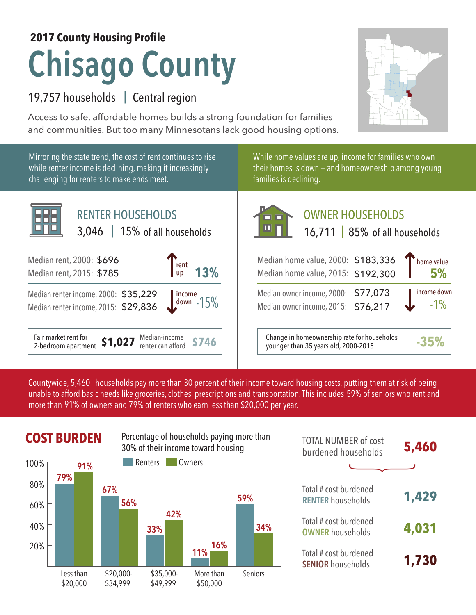## **2017 County Housing Profile**

# **Chisago County**

## 19,757 households | Central region

Access to safe, affordable homes builds a strong foundation for families and communities. But too many Minnesotans lack good housing options.



Mirroring the state trend, the cost of rent continues to rise while renter income is declining, making it increasingly challenging for renters to make ends meet.



While home values are up, income for families who own their homes is down — and homeownership among young families is declining.



Median-income<br>
renter can afford **\$746** Change in homeownership rate for households<br>
vounger than 35 years old, 2000-2015 younger than 35 years old, 2000-2015 **-35%**

Countywide, 5,460  $\,$  households pay more than 30 percent of their income toward housing costs, putting them at risk of being  $\,$ unable to afford basic needs like groceries, clothes, prescriptions and transportation. This includes 59% of seniors who rent and more than 91% of owners and 79% of renters who earn less than \$20,000 per year.



| <b>TOTAL NUMBER of cost</b><br>burdened households | 5,460 |
|----------------------------------------------------|-------|
|                                                    |       |
| Total # cost burdened<br><b>RENTER households</b>  | 1,429 |
| Total # cost burdened<br><b>OWNER households</b>   | 4,031 |
| Total # cost burdened<br><b>SENIOR households</b>  | 1,730 |